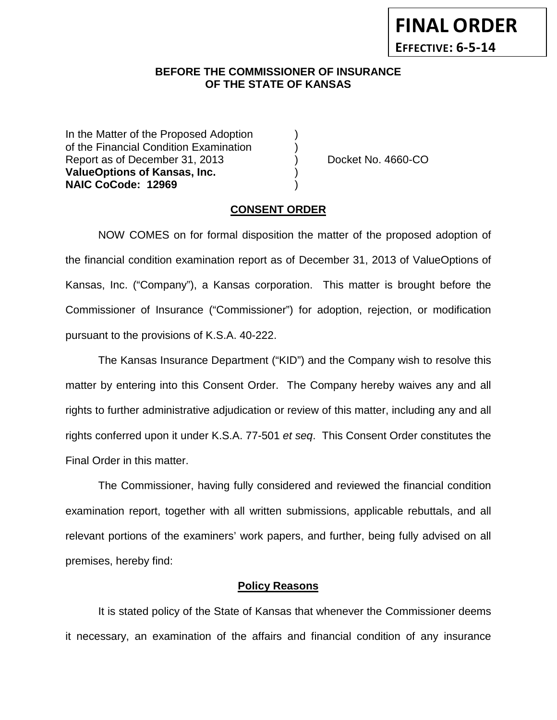#### **BEFORE THE COMMISSIONER OF INSURANCE OF THE STATE OF KANSAS**

In the Matter of the Proposed Adoption of the Financial Condition Examination ) Report as of December 31, 2013 (a) Docket No. 4660-CO **ValueOptions of Kansas, Inc.** ) **NAIC CoCode: 12969** 

## **CONSENT ORDER**

NOW COMES on for formal disposition the matter of the proposed adoption of the financial condition examination report as of December 31, 2013 of ValueOptions of Kansas, Inc. ("Company"), a Kansas corporation. This matter is brought before the Commissioner of Insurance ("Commissioner") for adoption, rejection, or modification pursuant to the provisions of K.S.A. 40-222.

The Kansas Insurance Department ("KID") and the Company wish to resolve this matter by entering into this Consent Order. The Company hereby waives any and all rights to further administrative adjudication or review of this matter, including any and all rights conferred upon it under K.S.A. 77-501 *et seq*. This Consent Order constitutes the Final Order in this matter.

The Commissioner, having fully considered and reviewed the financial condition examination report, together with all written submissions, applicable rebuttals, and all relevant portions of the examiners' work papers, and further, being fully advised on all premises, hereby find:

### **Policy Reasons**

It is stated policy of the State of Kansas that whenever the Commissioner deems it necessary, an examination of the affairs and financial condition of any insurance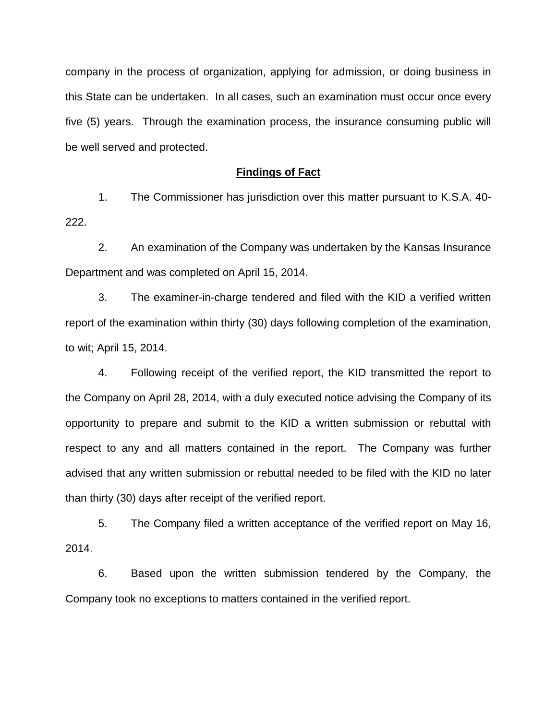company in the process of organization, applying for admission, or doing business in this State can be undertaken. In all cases, such an examination must occur once every five (5) years. Through the examination process, the insurance consuming public will be well served and protected.

#### **Findings of Fact**

1. The Commissioner has jurisdiction over this matter pursuant to K.S.A. 40- 222.

2. An examination of the Company was undertaken by the Kansas Insurance Department and was completed on April 15, 2014.

3. The examiner-in-charge tendered and filed with the KID a verified written report of the examination within thirty (30) days following completion of the examination, to wit; April 15, 2014.

4. Following receipt of the verified report, the KID transmitted the report to the Company on April 28, 2014, with a duly executed notice advising the Company of its opportunity to prepare and submit to the KID a written submission or rebuttal with respect to any and all matters contained in the report. The Company was further advised that any written submission or rebuttal needed to be filed with the KID no later than thirty (30) days after receipt of the verified report.

5. The Company filed a written acceptance of the verified report on May 16, 2014.

6. Based upon the written submission tendered by the Company, the Company took no exceptions to matters contained in the verified report.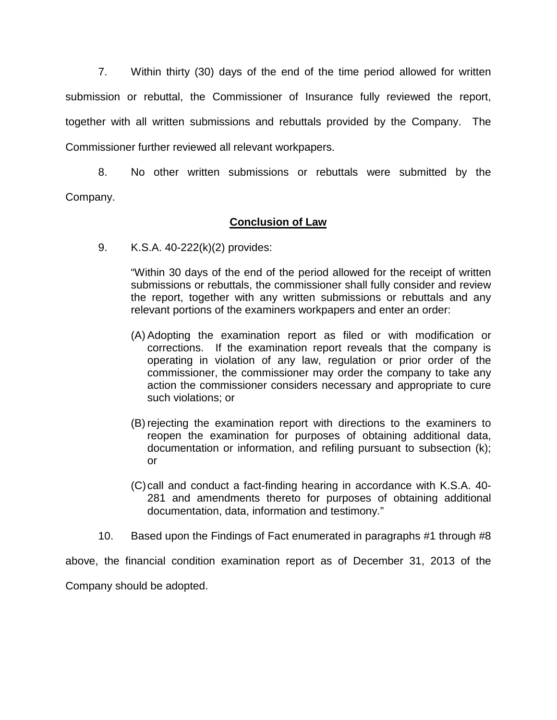7. Within thirty (30) days of the end of the time period allowed for written submission or rebuttal, the Commissioner of Insurance fully reviewed the report, together with all written submissions and rebuttals provided by the Company. The Commissioner further reviewed all relevant workpapers.

8. No other written submissions or rebuttals were submitted by the Company.

## **Conclusion of Law**

9. K.S.A. 40-222(k)(2) provides:

"Within 30 days of the end of the period allowed for the receipt of written submissions or rebuttals, the commissioner shall fully consider and review the report, together with any written submissions or rebuttals and any relevant portions of the examiners workpapers and enter an order:

- (A) Adopting the examination report as filed or with modification or corrections. If the examination report reveals that the company is operating in violation of any law, regulation or prior order of the commissioner, the commissioner may order the company to take any action the commissioner considers necessary and appropriate to cure such violations; or
- (B) rejecting the examination report with directions to the examiners to reopen the examination for purposes of obtaining additional data, documentation or information, and refiling pursuant to subsection (k); or
- (C)call and conduct a fact-finding hearing in accordance with K.S.A. 40- 281 and amendments thereto for purposes of obtaining additional documentation, data, information and testimony."
- 10. Based upon the Findings of Fact enumerated in paragraphs #1 through #8

above, the financial condition examination report as of December 31, 2013 of the Company should be adopted.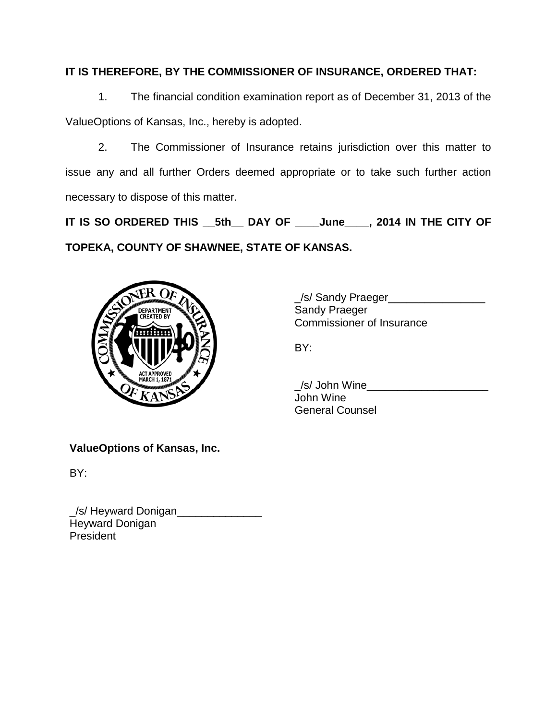# **IT IS THEREFORE, BY THE COMMISSIONER OF INSURANCE, ORDERED THAT:**

1. The financial condition examination report as of December 31, 2013 of the ValueOptions of Kansas, Inc., hereby is adopted.

2. The Commissioner of Insurance retains jurisdiction over this matter to issue any and all further Orders deemed appropriate or to take such further action necessary to dispose of this matter.

**IT IS SO ORDERED THIS \_\_5th\_\_ DAY OF \_\_\_\_June\_\_\_\_, 2014 IN THE CITY OF TOPEKA, COUNTY OF SHAWNEE, STATE OF KANSAS.**



\_/s/ Sandy Praeger\_\_\_\_\_\_\_\_\_\_\_\_\_\_\_\_ Sandy Praeger Commissioner of Insurance

BY:

 $\angle$ /s/ John Wine $\angle$ John Wine General Counsel

**ValueOptions of Kansas, Inc.**

BY:

\_/s/ Heyward Donigan\_\_\_\_\_\_\_\_\_\_\_\_\_\_ Heyward Donigan **President**